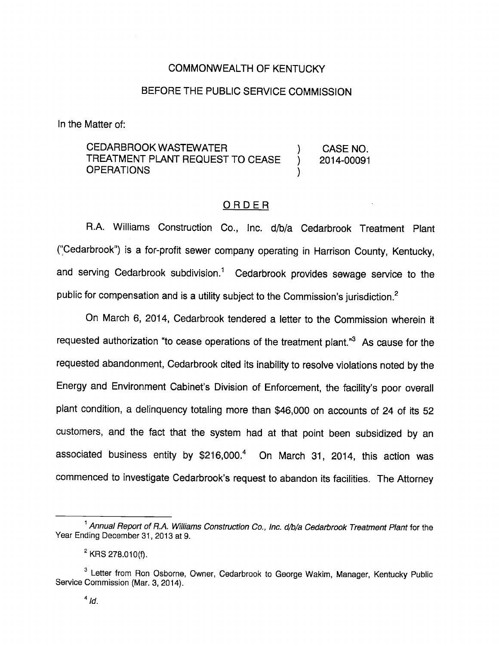## COMMONWEALTH OF KENTUCKY

## BEFORE THE PUBLIC SERVICE COMMISSION

In the Matter of:

CEDARBROOKWASTEWATER ) CASE NO. TREATMENT PLANT REQUEST TO CEASE ) 2014-00091 OPERATIONS )

## ORDER

R.A. Williams Construction Co., Inc. d/b/a Cedarbrook Treatment Plant ("Qedarbrook") is a for-profit sewer company operating in Harrison County, Kentucky, and serving Cedarbrook subdivision. $<sup>1</sup>$  Cedarbrook provides sewage service to the</sup> public for compensation and is a utility subject to the Commission's jurisdiction. $<sup>2</sup>$ </sup>

On March 6, 2014, Cedarbrook tendered a letter to the Commission wherein it requested authorization "to cease operations of the treatment plant. $\sqrt[3]{a}$  As cause for the requested abandonment, Cedarbrook cited its inability to resolve violations noted by the Energy and Environment Cabinet's Division of Enforcement, the facility's poor overall plant condition, a delinquency totaling more than \$46,000 on accounts of 24 of its 52 customers, and the fact that the system had at that point been subsidized by an associated business entity by  $$216,000.<sup>4</sup>$  On March 31, 2014, this action was commenced to investigate Cedarbrook's request to abandon its facilities. The Attorney

<sup>&</sup>lt;sup>1</sup> Annual Report of R.A. Williams Construction Co., Inc. d/b/a Cedarbrook Treatment Plant for the Year Ending December 31, 2013 at 9.

 $^{2}$  KRS 278.010(f).

 $3$  Letter from Ron Osborne, Owner, Cedarbrook to George Wakim, Manager, Kentucky Public Service Commission (Mar. 3, 2014).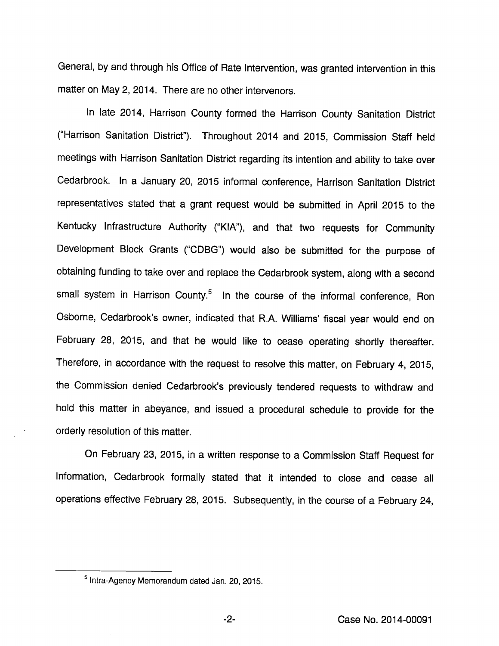General, by and through his Office of Rate Intervention, was granted intervention in this matter on May 2, 2014. There are no other intervenors.

In late 2014, Harrison County formed the Harrison County Sanitation District ("Harrison Sanitation District"). Throughout 2014 and 2015, Commission Staff held meetings with Harrison Sanitation District regarding its intention and ability to take over Cedarbrook. In a January 20, 2015 informal conference, Harrison Sanitation District representatives stated that a grant request would be submitted in April 2015 to the Kentucky Infrastructure Authority ("KIA"), and that two requests for Community Development Block Grants ("CDBG") would also be submitted for the purpose of obtaining funding to take over and replace the Cedarbrook system, along with a second small system in Harrison County.<sup>5</sup> In the course of the informal conference, Ron Osborne, Cedarbrook's owner, indicated that R.A. Williams' fiscal year would end on February 28, 2015, and that he would like to cease operating shortly thereafter. Therefore, in accordance with the request to resolve this matter, on February 4, 2015, the Commission denied Cedarbrook's previously tendered requests to withdraw and hold this matter in abeyance, and issued a procedural schedule to provide for the orderly resolution of this matter.

On February 23, 2015, in a written response to a Commission Staff Request for Information, Cedarbrook formally stated that it intended to close and cease all operations effective February 28, 2015. Subsequently, in the course of a February 24,

<sup>&</sup>lt;sup>5</sup> Intra-Agency Memorandum dated Jan. 20, 2015.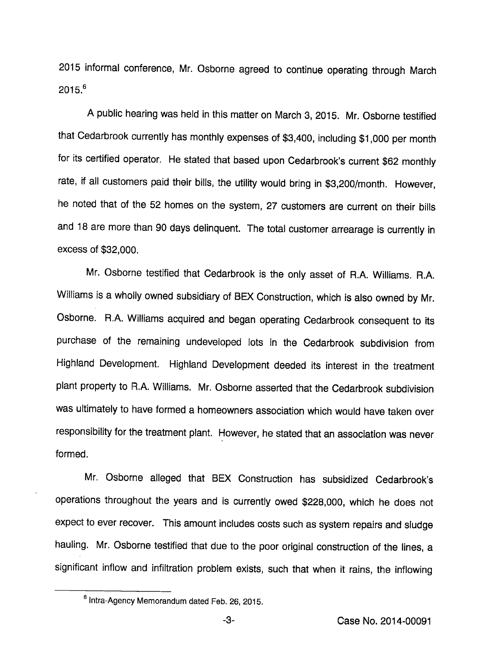2015 informal conference, Mr. Osborne agreed to continue operating through March 2015.®

A public hearing was held in this matter on March 3, 2015. Mr. Osborne testified that Cedarbrook currently has monthly expenses of \$3,400, including \$1,000 per month for its certified operator. He stated that based upon Cedarbrook's current \$62 monthly rate, if all customers paid their bills, the utility would bring in \$3,200/month. However, he noted that of the 52 homes on the system, 27 customers are current on their bills and 18 are more than 90 days delinquent. The total customer arrearage is currently in excess of \$32,000.

Mr. Osborne testified that Cedarbrook is the only asset of R.A. Williams. R.A. Williams is a wholly owned subsidiary of BEX Construction, which is also owned by Mr. Osborne. R.A. Williams acquired and began operating Cedarbrook consequent to its purchase of the remaining undeveloped lots in the Cedarbrook subdivision from Highland Development. Highland Development deeded its interest in the treatment plant property to R.A. Williams. Mr. Osborne asserted that the Cedarbrook subdivision was ultimately to have formed a homeowners association which would have taken over responsibility for the treatment plant. However, he stated that an association was never formed.

Mr. Osborne alleged that BEX Construction has subsidized Cedarbrook's operations throughout the years and is currently owed \$228,000, which he does not expect to ever recover. This amount includes costs such as system repairs and sludge hauling. Mr. Osborne testified that due to the poor original construction of the lines, a significant inflow and infiltration problem exists, such that when it rains, the inflowing

<sup>®</sup>Intra-Agency Memorandum dated Feb. 26, 2015.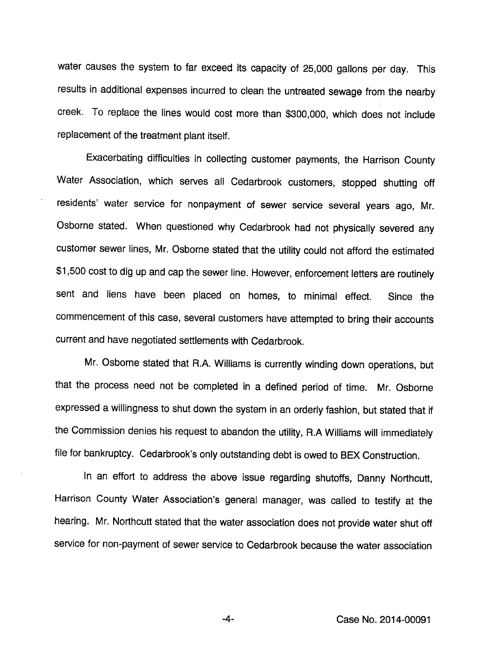water causes the system to far exceed its capacity of 25,000 gallons per day. This results in additional expenses incurred to clean the untreated sewage from the nearby creek. To replace the lines would cost more than \$300,000, which does not include replacement of the treatment plant itself.

Exacerbating difficulties in collecting customer payments, the Harrison County Water Association, which serves all Cedarbrook customers, stopped shutting off residents' water service for nonpayment of sewer service several years ago, Mr. Osborne stated. When questioned why Cedarbrook had not physically severed any customer sewer lines, Mr. Osborne stated that the utility could not afford the estimated \$1,500 cost to dig up and cap the sewer line. However, enforcement letters are routinely sent and liens have been placed on homes, to minimal effect. Since the commencement of this case, several customers have attempted to bring their accounts current and have negotiated settlements with Cedarbrook.

Mr. Osbome stated that R.A. Williams is currently winding down operations, but that the process need not be completed in a defined period of time. Mr. Osborne expressed a willingness to shut down the system in an orderly fashion, but stated that if the Commission denies his request to abandon the utility, R.A Williams will immediately file for bankruptcy. Cedarbrook's only outstanding debt is owed to BEX Construction.

In an effort to address the above issue regarding shutoffs, Danny Northcutt, Harrison County Water Association's general manager, was called to testify at the hearing. Mr. Northcutt stated that the water association does not provide water shut off service for non-payment of sewer service to Cedarbrook because the water association

Case No. 2014-00091

-4-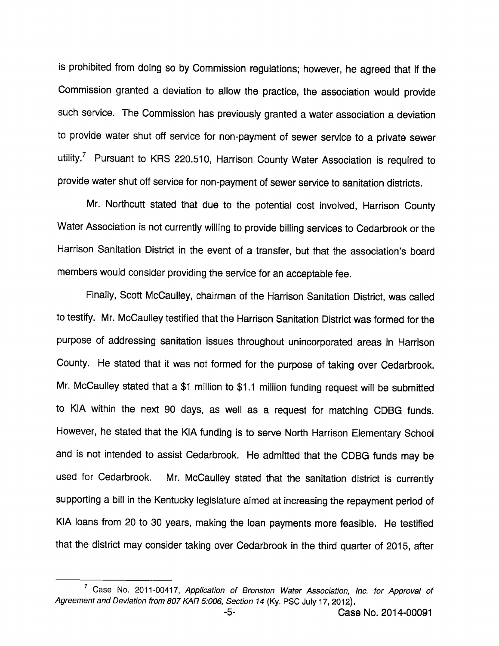is prohibited from doing so by Commission regulations; however, he agreed that if the Commission granted a deviation to allow the practice, the association would provide such service. The Commission has previously granted a water association a deviation to provide water shut off service for non-payment of sewer service to a private sewer utility.<sup>7</sup> Pursuant to KRS 220.510, Harrison County Water Association is required to provide water shut off service for non-payment of sewer service to sanitation districts.

Mr. Northcutt stated that due to the potential cost involved, Harrison County Water Association is not currently willing to provide billing services to Cedarbrook or the Harrison Sanitation District in the event of a transfer, but that the association's board members would consider providing the service for an acceptable fee.

Finally, Scott McCaulley, chairman of the Harrison Sanitation District, was called to testify. Mr. McCaulley testified that the Harrison Sanitation District was formed for the purpose of addressing sanitation issues throughout unincorporated areas in Harrison County. He stated that it was not formed for the purpose of taking over Cedarbrook. Mr. McCaulley stated that a \$1 million to \$1.1 million funding request will be submitted to KIA within the next 90 days, as well as a request for matching CDBG funds. However, he stated that the KIA funding is to serve North Harrison Elementary School and is not intended to assist Cedarbrook. He admitted that the CDBG funds may be used for Cedarbrook. Mr. McCaulley stated that the sanitation district is currently supporting a bill in the Kentucky legislature aimed at increasing the repayment period of KIA loans from 20 to 30 years, making the loan payments more feasible. He testified that the district may consider taking over Cedarbrook in the third quarter of 2015, after

 $^7$  Case No. 2011-00417, Application of Bronston Water Association, Inc. for Approval of Agreement and Deviation from 807 KAR 5:006, Section 14 (Ky. PSC July 17, 2012).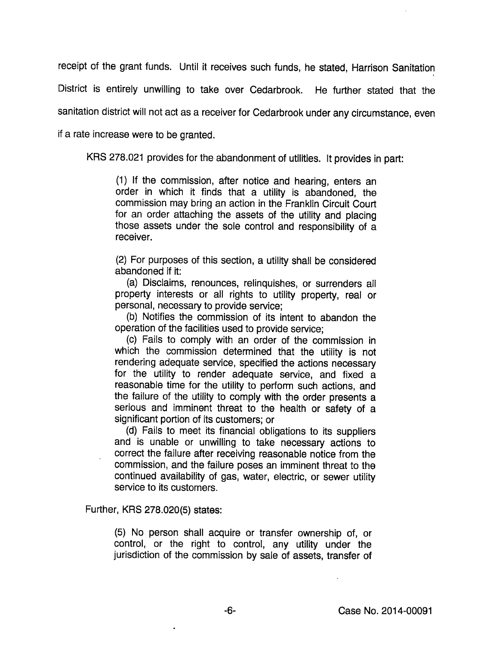receipt of the grant funds. Until it receives such funds, he stated, Harrison Sanitation

District is entirely unwilling to take over Cedarbrook. He further stated that the

sanitation district will not act as a receiver for Cedarbrook under any circumstance, even

if a rate increase were to be granted.

KRS 278.021 provides for the abandonment of utilities. It provides in part:

(1) If the commission, after notice and hearing, enters an order in which it finds that a utility is abandoned, the commission may bring an action in the Franklin Circuit Court for an order attaching the assets of the utility and placing those assets under the sole control and responsibility of a receiver.

(2) For purposes of this section, a utility shall be considered abandoned if it:

(a) Disclaims, renounces, relinquishes, or surrenders all property interests or all rights to utility property, real or personal, necessary to provide service;

(b) Notifies the commission of its intent to abandon the operation of the facilities used to provide service;

(c) Fails to comply with an order of the commission in which the commission determined that the utility is not rendering adequate service, specified the actions necessary for the utility to render adequate service, and fixed a reasonable time for the utility to perform such actions, and the failure of the utility to comply with the order presents a serious and imminent threat to the health or safety of a significant portion of its customers; or

(d) Fails to meet its financial obligations to its suppliers and is unable or unwilling to take necessary actions to correct the failure after receiving reasonable notice from the commission, and the failure poses an imminent threat to the continued availability of gas, water, electric, or sewer utility service to its customers.

Further, KRS 278.020(5) states:

(5) No person shall acquire or transfer ownership of, or control, or the right to control, any utility under the jurisdiction of the commission by sale of assets, transfer of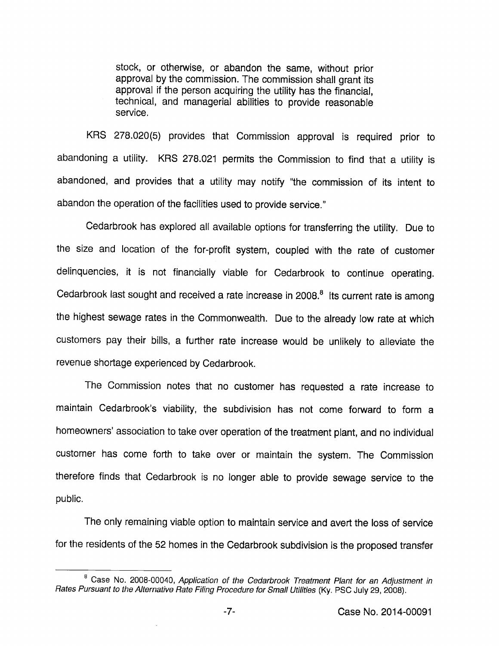stock, or otherwise, or abandon the same, without prior approval by the commission. The commission shall grant its approval if the person acquiring the utility has the financial, technical, and managerial abilities to provide reasonable service.

KRS 278.020(5) provides that Commission approval is required prior to abandoning a utility. KRS 278.021 permits the Commission to find that a utility is abandoned, and provides that a utility may notify "the commission of its intent to abandon the operation of the facilities used to provide service."

Cedarbrook has explored all available options for transferring the utility. Due to the size and location of the for-profit system, coupled with the rate of customer delinquencies, it is not financially viable for Cedarbrook to continue operating. Cedarbrook last sought and received a rate increase in 2008.<sup>8</sup> Its current rate is among the highest sewage rates in the Commonwealth. Due to the already low rate at which customers pay their bills, a further rate increase would be unlikely to alleviate the revenue shortage experienced by Cedarbrook.

The Commission notes that no customer has requested a rate increase to maintain Cedarbrook's viability, the subdivision has not come forward to form a homeowners' association to take over operation of the treatment plant, and no individual customer has come forth to take over or maintain the system. The Commission therefore finds that Cedarbrook is no longer able to provide sewage service to the public.

The only remaining viable option to maintain service and avert the loss of service for the residents of the 52 homes in the Cedarbrook subdivision is the proposed transfer

<sup>&</sup>lt;sup>8</sup> Case No. 2008-00040, Application of the Cedarbrook Treatment Plant for an Adjustment in Rates Pursuant to the Alternative Rate Filing Procedure for Small Utilities (Ky. PSC July 29, 2008).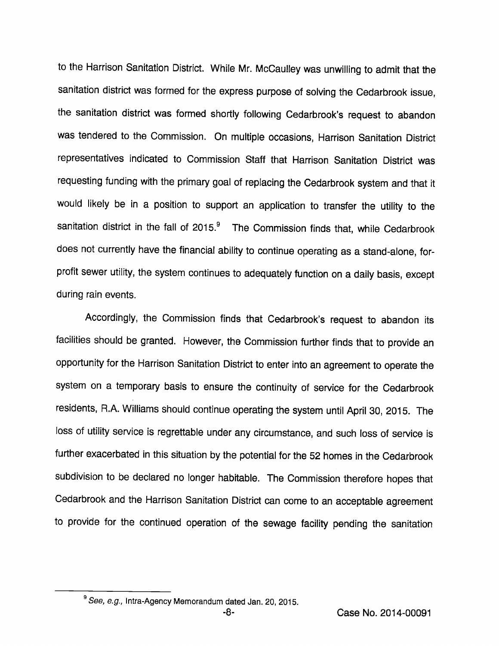to the Harrison Sanitation District. While Mr. McCaulley was unwilling to admit that the sanitation district was formed for the express purpose of solving the Cedarbrook issue, the sanitation district was formed shortly following Cedarbrook's request to abandon was tendered to the Commission. On multiple occasions, Harrison Sanitation District representatives indicated to Commission Staff that Harrison Sanitation District was requesting funding with the primary goal of replacing the Cedarbrook system and that it would likely be in a position to support an application to transfer the utility to the sanitation district in the fall of 2015.<sup>9</sup> The Commission finds that, while Cedarbrook does not currently have the financial ability to continue operating as a stand-alone, forprofit sewer utility, the system continues to adequately function on a daily basis, except during rain events.

Accordingly, the Commission finds that Cedarbrook's request to abandon its facilities should be granted. However, the Commission further finds that to provide an opportunity for the Harrison Sanitation District to enter into an agreement to operate the system on a temporary basis to ensure the continuity of service for the Cedarbrook residents, R.A. Williams should continue operating the system until April 30, 2015. The loss of utility service is regrettable under any circumstance, and such loss of service is further exacerbated in this situation by the potential for the 52 homes in the Cedarbrook subdivision to be declared no longer habitable. The Commission therefore hopes that Cedarbrook and the Harrison Sanitation District can come to an acceptable agreement to provide for the continued operation of the sewage facility pending the sanitation

<sup>&</sup>lt;sup>9</sup> See, e.g., Intra-Agency Memorandum dated Jan. 20, 2015.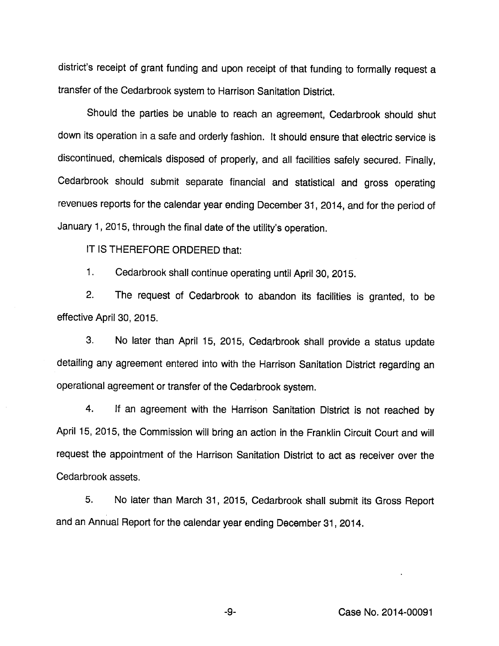district's receipt of grant funding and upon receipt of that funding to formally request a transfer of the Cedarbrook system to Harrison Sanitation District.

Should the parties be unable to reach an agreement, Cedarbrook should shut down its operation in a safe and orderly fashion. It should ensure that electric service is discontinued, chemicals disposed of properly, and all facilities safely secured. Finally, Cedarbrook should submit separate financial and statistical and gross operating revenues reports for the calendar year ending December 31, 2014, and for the period of January 1, 2015, through the final date of the utility's operation.

IT IS THEREFORE ORDERED that:

1. Cedarbrook shall continue operating until April 30, 2015.

2. The request of Cedarbrook to abandon its facilities is granted, to be effective April 30, 2015.

3. No later than April 15, 2015, Cedarbrook shall provide a status update detailing any agreement entered into with the Harrison Sanitation District regarding an operational agreement or transfer of the Cedarbrook system.

4. If an agreement with the Harrison Sanitation District is not reached by April 15, 2015, the Commission will bring an action in the Franklin Circuit Court and will request the appointment of the Harrison Sanitation District to act as receiver over the Cedarbrook assets.

5. No later than March 31, 2015, Cedarbrook shall submit its Gross Report and an Annual Report for the calendar year ending December 31, 2014.

Case No. 2014-00091

 $-9-$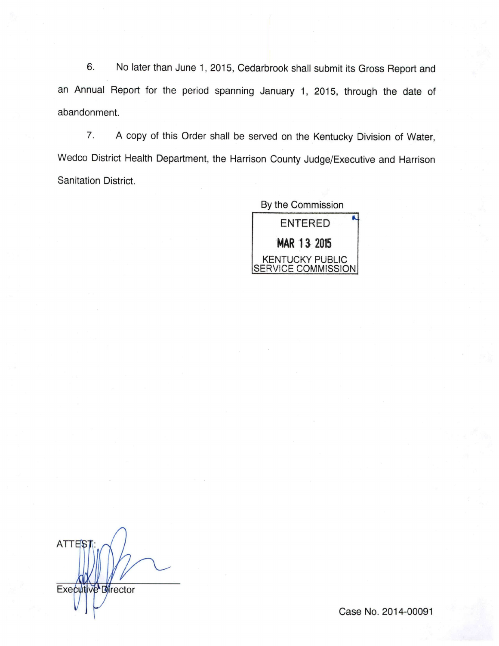6. No later than June 1, 2015, Cedarbrook shall submit its Gross Report and an Annual Report for the period spanning January 1, 2015, through the date of abandonment.

7. A copy of this Order shall be served on the Kentucky Division of Water, Wedco District Health Department, the Harrison County Judge/Executive and Harrison Sanitation District.

> By the Commission ENTERED MAR 13 2015 KENTUCKY PUBLIC **SERVICE COMMISSION**

**ATTE'S** Executive Director

Case No. 2014-00091